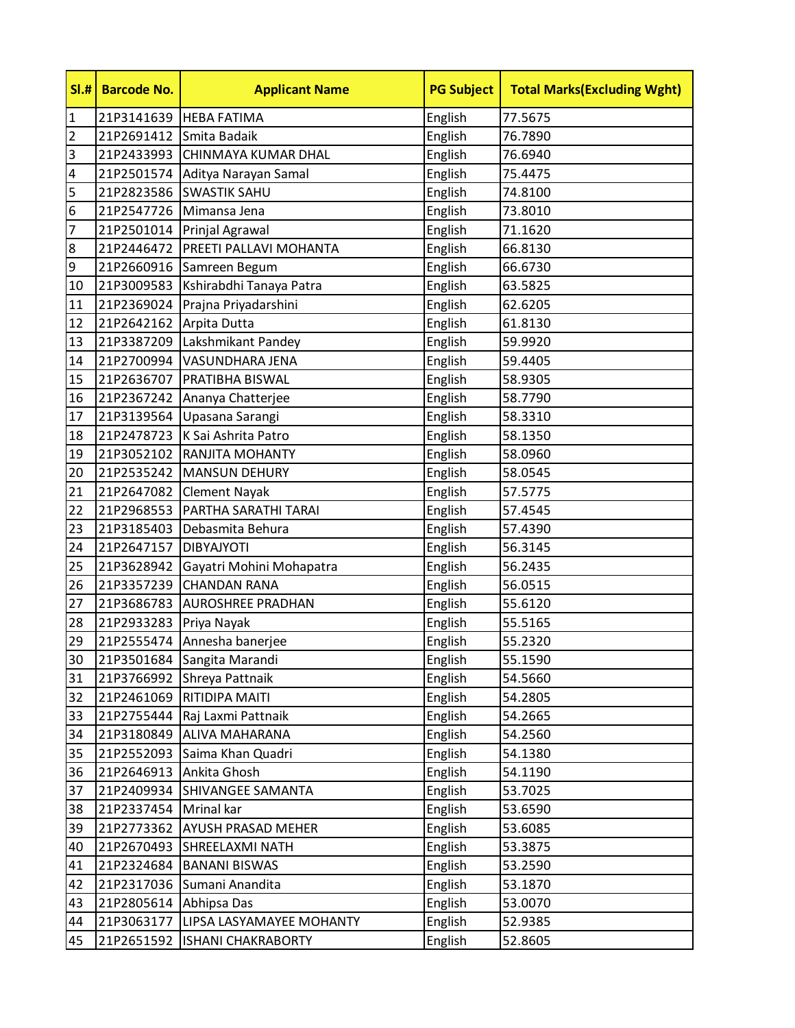| SI.#           | <b>Barcode No.</b> | <b>Applicant Name</b>              | <b>PG Subject</b> | <b>Total Marks(Excluding Wght)</b> |
|----------------|--------------------|------------------------------------|-------------------|------------------------------------|
| $\mathbf{1}$   |                    | 21P3141639   HEBA FATIMA           | English           | 77.5675                            |
| $\overline{2}$ | 21P2691412         | Smita Badaik                       | English           | 76.7890                            |
| 3              | 21P2433993         | CHINMAYA KUMAR DHAL                | English           | 76.6940                            |
| 4              | 21P2501574         | Aditya Narayan Samal               | English           | 75.4475                            |
| 5              |                    | 21P2823586 SWASTIK SAHU            | English           | 74.8100                            |
| 6              |                    | 21P2547726 Mimansa Jena            | English           | 73.8010                            |
| $\overline{7}$ | 21P2501014         | Prinjal Agrawal                    | English           | 71.1620                            |
| 8              | 21P2446472         | <b>PREETI PALLAVI MOHANTA</b>      | English           | 66.8130                            |
| 9              |                    | 21P2660916 Samreen Begum           | English           | 66.6730                            |
| 10             |                    | 21P3009583 Kshirabdhi Tanaya Patra | English           | 63.5825                            |
| 11             | 21P2369024         | Prajna Priyadarshini               | English           | 62.6205                            |
| 12             | 21P2642162         | Arpita Dutta                       | English           | 61.8130                            |
| 13             |                    | 21P3387209 Lakshmikant Pandey      | English           | 59.9920                            |
| 14             | 21P2700994         | VASUNDHARA JENA                    | English           | 59.4405                            |
| 15             | 21P2636707         | <b>PRATIBHA BISWAL</b>             | English           | 58.9305                            |
| 16             | 21P2367242         | Ananya Chatterjee                  | English           | 58.7790                            |
| 17             | 21P3139564         | Upasana Sarangi                    | English           | 58.3310                            |
| 18             |                    | 21P2478723   K Sai Ashrita Patro   | English           | 58.1350                            |
| 19             | 21P3052102         | <b>RANJITA MOHANTY</b>             | English           | 58.0960                            |
| 20             | 21P2535242         | MANSUN DEHURY                      | English           | 58.0545                            |
| 21             | 21P2647082         | <b>Clement Nayak</b>               | English           | 57.5775                            |
| 22             | 21P2968553         | PARTHA SARATHI TARAI               | English           | 57.4545                            |
| 23             | 21P3185403         | Debasmita Behura                   | English           | 57.4390                            |
| 24             | 21P2647157         | <b>DIBYAJYOTI</b>                  | English           | 56.3145                            |
| 25             | 21P3628942         | Gayatri Mohini Mohapatra           | English           | 56.2435                            |
| 26             | 21P3357239         | <b>CHANDAN RANA</b>                | English           | 56.0515                            |
| 27             | 21P3686783         | <b>AUROSHREE PRADHAN</b>           | English           | 55.6120                            |
| 28             | 21P2933283         | Priya Nayak                        | English           | 55.5165                            |
| 29             | 21P2555474         | Annesha banerjee                   | English           | 55.2320                            |
| 30             | 21P3501684         | Sangita Marandi                    | English           | 55.1590                            |
| 31             | 21P3766992         | Shreya Pattnaik                    | English           | 54.5660                            |
| 32             | 21P2461069         | <b>RITIDIPA MAITI</b>              | English           | 54.2805                            |
| 33             | 21P2755444         | Raj Laxmi Pattnaik                 | English           | 54.2665                            |
| 34             | 21P3180849         | <b>ALIVA MAHARANA</b>              | English           | 54.2560                            |
| 35             | 21P2552093         | Saima Khan Quadri                  | English           | 54.1380                            |
| 36             | 21P2646913         | Ankita Ghosh                       | English           | 54.1190                            |
| 37             | 21P2409934         | SHIVANGEE SAMANTA                  | English           | 53.7025                            |
| 38             | 21P2337454         | Mrinal kar                         | English           | 53.6590                            |
| 39             | 21P2773362         | <b>AYUSH PRASAD MEHER</b>          | English           | 53.6085                            |
| 40             | 21P2670493         | SHREELAXMI NATH                    | English           | 53.3875                            |
| 41             | 21P2324684         | <b>BANANI BISWAS</b>               | English           | 53.2590                            |
| 42             |                    | 21P2317036 Sumani Anandita         | English           | 53.1870                            |
| 43             | 21P2805614         | Abhipsa Das                        | English           | 53.0070                            |
| 44             | 21P3063177         | LIPSA LASYAMAYEE MOHANTY           | English           | 52.9385                            |
| 45             | 21P2651592         | <b>ISHANI CHAKRABORTY</b>          | English           | 52.8605                            |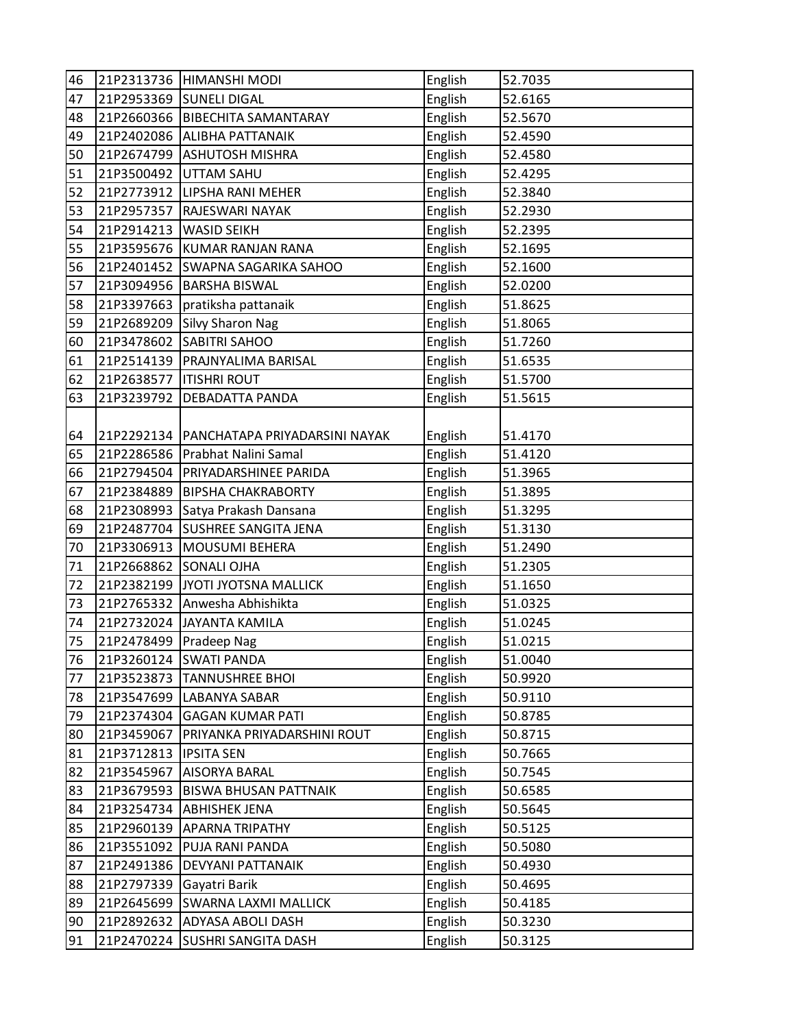| 46 |            | 21P2313736 HIMANSHI MODI                   | English | 52.7035 |
|----|------------|--------------------------------------------|---------|---------|
| 47 |            | 21P2953369 SUNELI DIGAL                    | English | 52.6165 |
| 48 |            | 21P2660366 BIBECHITA SAMANTARAY            | English | 52.5670 |
| 49 | 21P2402086 | <b>ALIBHA PATTANAIK</b>                    | English | 52.4590 |
| 50 |            | 21P2674799 ASHUTOSH MISHRA                 | English | 52.4580 |
| 51 |            | 21P3500492 UTTAM SAHU                      | English | 52.4295 |
| 52 |            | 21P2773912 LIPSHA RANI MEHER               | English | 52.3840 |
| 53 | 21P2957357 | <b>RAJESWARI NAYAK</b>                     | English | 52.2930 |
| 54 | 21P2914213 | <b>WASID SEIKH</b>                         | English | 52.2395 |
| 55 | 21P3595676 | KUMAR RANJAN RANA                          | English | 52.1695 |
| 56 | 21P2401452 | <b>SWAPNA SAGARIKA SAHOO</b>               | English | 52.1600 |
| 57 |            | 21P3094956 BARSHA BISWAL                   | English | 52.0200 |
| 58 | 21P3397663 | pratiksha pattanaik                        | English | 51.8625 |
| 59 | 21P2689209 | Silvy Sharon Nag                           | English | 51.8065 |
| 60 |            | 21P3478602 SABITRI SAHOO                   | English | 51.7260 |
| 61 |            | 21P2514139   PRAJNYALIMA BARISAL           | English | 51.6535 |
| 62 | 21P2638577 | <b>ITISHRI ROUT</b>                        | English | 51.5700 |
| 63 | 21P3239792 | <b>DEBADATTA PANDA</b>                     | English | 51.5615 |
|    |            |                                            |         |         |
| 64 |            | 21P2292134   PANCHATAPA PRIYADARSINI NAYAK | English | 51.4170 |
| 65 |            | 21P2286586 Prabhat Nalini Samal            | English | 51.4120 |
| 66 |            | 21P2794504 PRIYADARSHINEE PARIDA           | English | 51.3965 |
| 67 | 21P2384889 | <b>BIPSHA CHAKRABORTY</b>                  | English | 51.3895 |
| 68 | 21P2308993 | Satya Prakash Dansana                      | English | 51.3295 |
| 69 | 21P2487704 | <b>SUSHREE SANGITA JENA</b>                | English | 51.3130 |
| 70 | 21P3306913 | MOUSUMI BEHERA                             | English | 51.2490 |
| 71 | 21P2668862 | <b>SONALI OJHA</b>                         | English | 51.2305 |
| 72 | 21P2382199 | JYOTI JYOTSNA MALLICK                      | English | 51.1650 |
| 73 | 21P2765332 | Anwesha Abhishikta                         | English | 51.0325 |
| 74 | 21P2732024 | <b>JAYANTA KAMILA</b>                      | English | 51.0245 |
| 75 | 21P2478499 | <b>Pradeep Nag</b>                         | English | 51.0215 |
| 76 |            | 21P3260124 SWATI PANDA                     | English | 51.0040 |
| 77 | 21P3523873 | <b>TANNUSHREE BHOI</b>                     | English | 50.9920 |
| 78 | 21P3547699 | LABANYA SABAR                              | English | 50.9110 |
| 79 | 21P2374304 | <b>GAGAN KUMAR PATI</b>                    | English | 50.8785 |
| 80 | 21P3459067 | PRIYANKA PRIYADARSHINI ROUT                | English | 50.8715 |
| 81 | 21P3712813 | <b>IPSITA SEN</b>                          | English | 50.7665 |
| 82 | 21P3545967 | <b>AISORYA BARAL</b>                       | English | 50.7545 |
| 83 | 21P3679593 | <b>BISWA BHUSAN PATTNAIK</b>               | English | 50.6585 |
| 84 | 21P3254734 | <b>ABHISHEK JENA</b>                       | English | 50.5645 |
| 85 | 21P2960139 | <b>APARNA TRIPATHY</b>                     | English | 50.5125 |
| 86 | 21P3551092 | PUJA RANI PANDA                            | English | 50.5080 |
| 87 | 21P2491386 | <b>DEVYANI PATTANAIK</b>                   | English | 50.4930 |
| 88 | 21P2797339 | Gayatri Barik                              | English | 50.4695 |
| 89 | 21P2645699 | <b>SWARNA LAXMI MALLICK</b>                | English | 50.4185 |
| 90 | 21P2892632 | <b>ADYASA ABOLI DASH</b>                   | English | 50.3230 |
| 91 | 21P2470224 | <b>SUSHRI SANGITA DASH</b>                 | English | 50.3125 |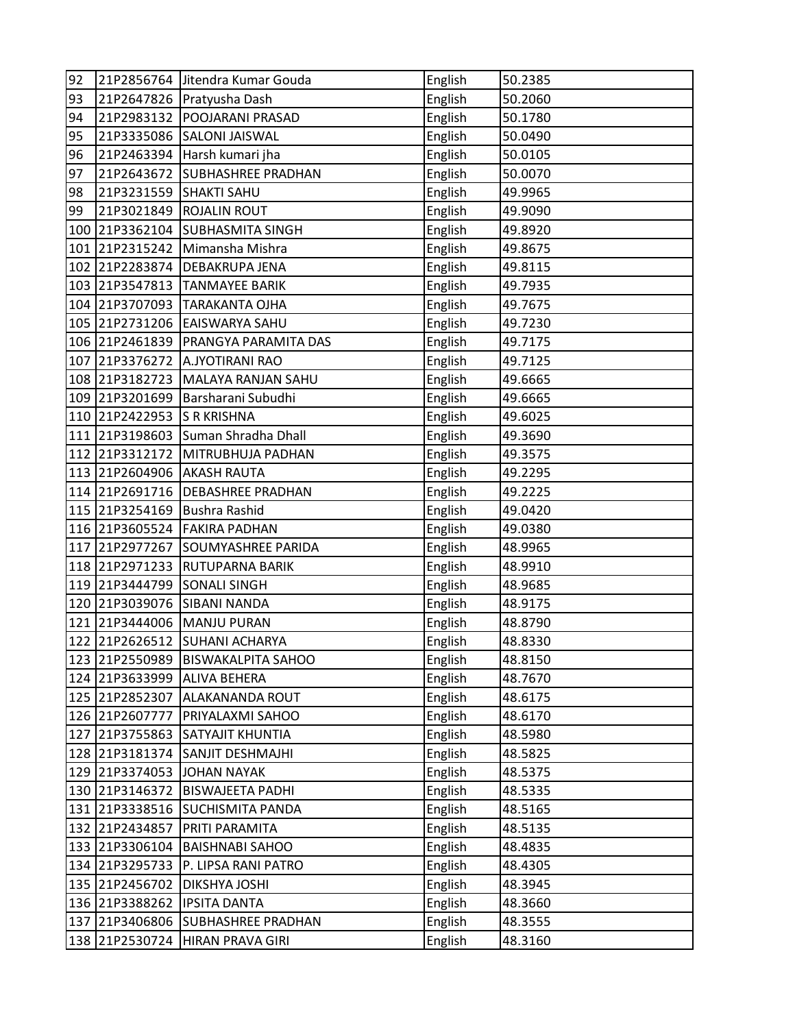| 92  |                | 21P2856764 Jitendra Kumar Gouda   | English | 50.2385 |
|-----|----------------|-----------------------------------|---------|---------|
| 93  |                | 21P2647826 Pratyusha Dash         | English | 50.2060 |
| 94  | 21P2983132     | <b>POOJARANI PRASAD</b>           | English | 50.1780 |
| 95  | 21P3335086     | <b>SALONI JAISWAL</b>             | English | 50.0490 |
| 96  | 21P2463394     | Harsh kumari jha                  | English | 50.0105 |
| 97  | 21P2643672     | <b>SUBHASHREE PRADHAN</b>         | English | 50.0070 |
| 98  | 21P3231559     | <b>SHAKTI SAHU</b>                | English | 49.9965 |
| 99  | 21P3021849     | <b>ROJALIN ROUT</b>               | English | 49.9090 |
| 100 | 21P3362104     | <b>SUBHASMITA SINGH</b>           | English | 49.8920 |
| 101 | 21P2315242     | Mimansha Mishra                   | English | 49.8675 |
|     | 102 21P2283874 | <b>DEBAKRUPA JENA</b>             | English | 49.8115 |
|     | 103 21P3547813 | <b>TANMAYEE BARIK</b>             | English | 49.7935 |
|     | 104 21P3707093 | <b>TARAKANTA OJHA</b>             | English | 49.7675 |
|     | 105 21P2731206 | EAISWARYA SAHU                    | English | 49.7230 |
|     | 106 21P2461839 | <b>PRANGYA PARAMITA DAS</b>       | English | 49.7175 |
|     | 107 21P3376272 | A.JYOTIRANI RAO                   | English | 49.7125 |
|     | 108 21P3182723 | MALAYA RANJAN SAHU                | English | 49.6665 |
|     | 109 21P3201699 | Barsharani Subudhi                | English | 49.6665 |
|     | 110 21P2422953 | <b>S R KRISHNA</b>                | English | 49.6025 |
|     | 111 21P3198603 | Suman Shradha Dhall               | English | 49.3690 |
|     | 112 21P3312172 | MITRUBHUJA PADHAN                 | English | 49.3575 |
|     | 113 21P2604906 | <b>AKASH RAUTA</b>                | English | 49.2295 |
| 114 | 21P2691716     | <b>DEBASHREE PRADHAN</b>          | English | 49.2225 |
| 115 | 21P3254169     | <b>Bushra Rashid</b>              | English | 49.0420 |
|     | 116 21P3605524 | <b>FAKIRA PADHAN</b>              | English | 49.0380 |
|     | 117 21P2977267 | <b>SOUMYASHREE PARIDA</b>         | English | 48.9965 |
|     | 118 21P2971233 | <b>RUTUPARNA BARIK</b>            | English | 48.9910 |
| 119 | 21P3444799     | <b>SONALI SINGH</b>               | English | 48.9685 |
| 120 | 21P3039076     | <b>SIBANI NANDA</b>               | English | 48.9175 |
| 121 | 21P3444006     | MANJU PURAN                       | English | 48.8790 |
|     | 122 21P2626512 | <b>SUHANI ACHARYA</b>             | English | 48.8330 |
|     |                | 123 21P2550989 BISWAKALPITA SAHOO | English | 48.8150 |
|     | 124 21P3633999 | <b>ALIVA BEHERA</b>               | English | 48.7670 |
|     | 125 21P2852307 | <b>ALAKANANDA ROUT</b>            | English | 48.6175 |
|     | 126 21P2607777 | PRIYALAXMI SAHOO                  | English | 48.6170 |
|     | 127 21P3755863 | <b>SATYAJIT KHUNTIA</b>           | English | 48.5980 |
|     | 128 21P3181374 | <b>SANJIT DESHMAJHI</b>           | English | 48.5825 |
| 129 | 21P3374053     | <b>JOHAN NAYAK</b>                | English | 48.5375 |
|     | 130 21P3146372 | <b>BISWAJEETA PADHI</b>           | English | 48.5335 |
|     | 131 21P3338516 | <b>SUCHISMITA PANDA</b>           | English | 48.5165 |
|     | 132 21P2434857 | PRITI PARAMITA                    | English | 48.5135 |
|     | 133 21P3306104 | <b>BAISHNABI SAHOO</b>            | English | 48.4835 |
| 134 | 21P3295733     | P. LIPSA RANI PATRO               | English | 48.4305 |
|     | 135 21P2456702 | <b>DIKSHYA JOSHI</b>              | English | 48.3945 |
|     | 136 21P3388262 | <b>IPSITA DANTA</b>               | English | 48.3660 |
|     | 137 21P3406806 | <b>SUBHASHREE PRADHAN</b>         | English | 48.3555 |
|     | 138 21P2530724 | HIRAN PRAVA GIRI                  | English | 48.3160 |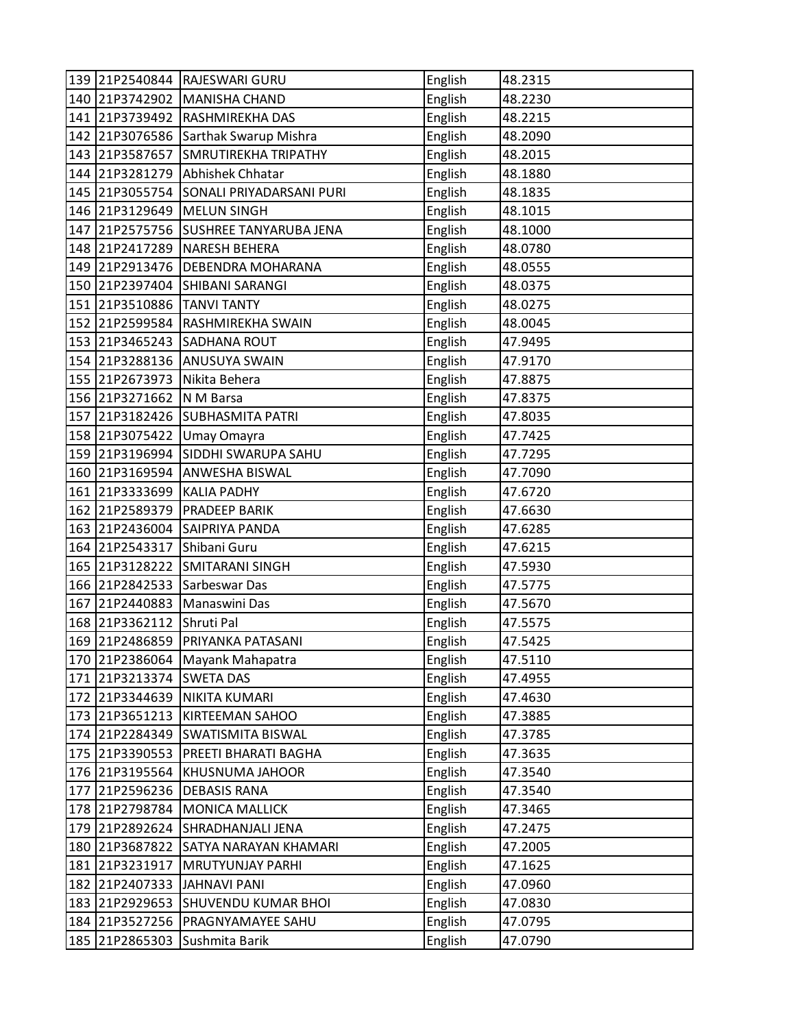|     |                | 139 21P2540844 RAJESWARI GURU   | English | 48.2315 |
|-----|----------------|---------------------------------|---------|---------|
|     | 140 21P3742902 | MANISHA CHAND                   | English | 48.2230 |
| 141 | 21P3739492     | <b>RASHMIREKHA DAS</b>          | English | 48.2215 |
|     | 142 21P3076586 | Sarthak Swarup Mishra           | English | 48.2090 |
|     | 143 21P3587657 | <b>SMRUTIREKHA TRIPATHY</b>     | English | 48.2015 |
|     | 144 21P3281279 | Abhishek Chhatar                | English | 48.1880 |
|     | 145 21P3055754 | SONALI PRIYADARSANI PURI        | English | 48.1835 |
|     | 146 21P3129649 | MELUN SINGH                     | English | 48.1015 |
| 147 | 21P2575756     | <b>SUSHREE TANYARUBA JENA</b>   | English | 48.1000 |
|     | 148 21P2417289 | <b>NARESH BEHERA</b>            | English | 48.0780 |
|     | 149 21P2913476 | <b>DEBENDRA MOHARANA</b>        | English | 48.0555 |
|     | 150 21P2397404 | SHIBANI SARANGI                 | English | 48.0375 |
|     | 151 21P3510886 | <b>TANVI TANTY</b>              | English | 48.0275 |
|     | 152 21P2599584 | <b>RASHMIREKHA SWAIN</b>        | English | 48.0045 |
|     | 153 21P3465243 | <b>SADHANA ROUT</b>             | English | 47.9495 |
|     | 154 21P3288136 | <b>ANUSUYA SWAIN</b>            | English | 47.9170 |
|     | 155 21P2673973 | Nikita Behera                   | English | 47.8875 |
|     | 156 21P3271662 | N M Barsa                       | English | 47.8375 |
| 157 | 21P3182426     | <b>SUBHASMITA PATRI</b>         | English | 47.8035 |
|     | 158 21P3075422 | Umay Omayra                     | English | 47.7425 |
|     | 159 21P3196994 | SIDDHI SWARUPA SAHU             | English | 47.7295 |
|     | 160 21P3169594 | <b>ANWESHA BISWAL</b>           | English | 47.7090 |
| 161 | 21P3333699     | <b>KALIA PADHY</b>              | English | 47.6720 |
|     | 162 21P2589379 | <b>PRADEEP BARIK</b>            | English | 47.6630 |
|     | 163 21P2436004 | <b>SAIPRIYA PANDA</b>           | English | 47.6285 |
|     | 164 21P2543317 | Shibani Guru                    | English | 47.6215 |
|     | 165 21P3128222 | <b>SMITARANI SINGH</b>          | English | 47.5930 |
| 166 | 21P2842533     | Sarbeswar Das                   | English | 47.5775 |
| 167 | 21P2440883     | Manaswini Das                   | English | 47.5670 |
| 168 | 21P3362112     | Shruti Pal                      | English | 47.5575 |
|     | 169 21P2486859 | PRIYANKA PATASANI               | English | 47.5425 |
|     |                | 170 21P2386064 Mayank Mahapatra | English | 47.5110 |
| 171 | 21P3213374     | <b>SWETA DAS</b>                | English | 47.4955 |
|     | 172 21P3344639 | NIKITA KUMARI                   | English | 47.4630 |
|     | 173 21P3651213 | <b>KIRTEEMAN SAHOO</b>          | English | 47.3885 |
|     | 174 21P2284349 | <b>SWATISMITA BISWAL</b>        | English | 47.3785 |
| 175 | 21P3390553     | PREETI BHARATI BAGHA            | English | 47.3635 |
| 176 | 21P3195564     | KHUSNUMA JAHOOR                 | English | 47.3540 |
| 177 | 21P2596236     | <b>DEBASIS RANA</b>             | English | 47.3540 |
|     | 178 21P2798784 | <b>MONICA MALLICK</b>           | English | 47.3465 |
| 179 | 21P2892624     | SHRADHANJALI JENA               | English | 47.2475 |
| 180 | 21P3687822     | SATYA NARAYAN KHAMARI           | English | 47.2005 |
| 181 | 21P3231917     | <b>MRUTYUNJAY PARHI</b>         | English | 47.1625 |
|     | 182 21P2407333 | JAHNAVI PANI                    | English | 47.0960 |
| 183 | 21P2929653     | <b>SHUVENDU KUMAR BHOI</b>      | English | 47.0830 |
|     | 184 21P3527256 | PRAGNYAMAYEE SAHU               | English | 47.0795 |
|     | 185 21P2865303 | Sushmita Barik                  | English | 47.0790 |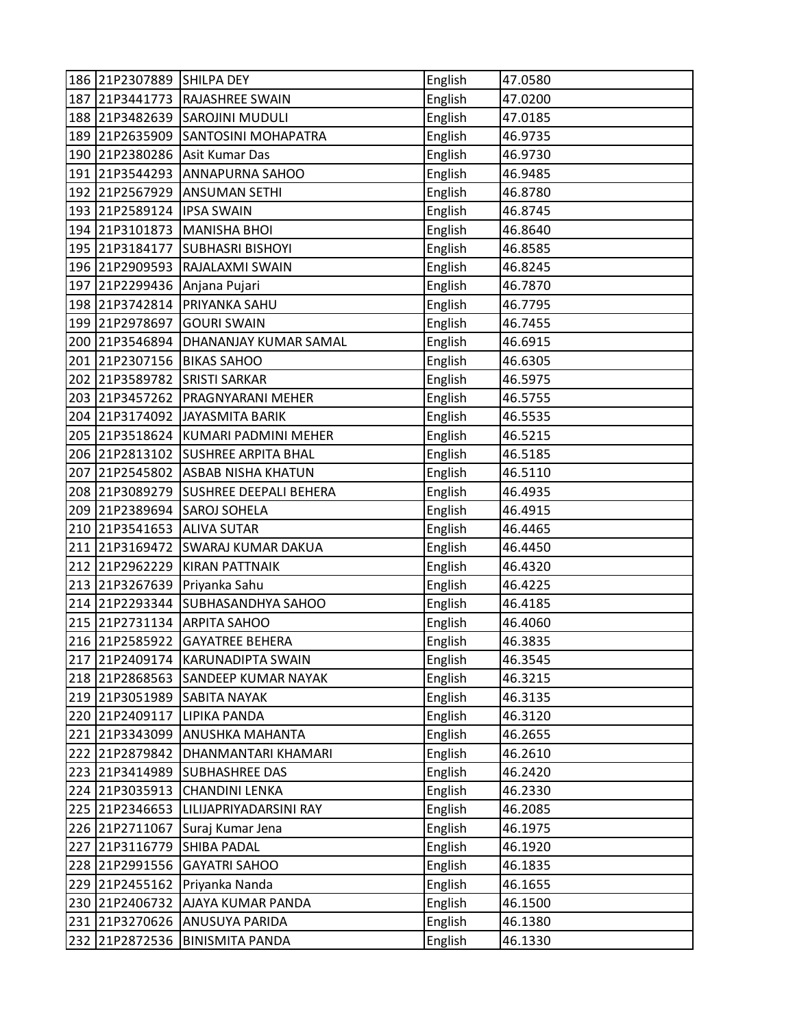|     | 186 21P2307889 | <b>SHILPA DEY</b>                 | English | 47.0580 |
|-----|----------------|-----------------------------------|---------|---------|
| 187 | 21P3441773     | <b>RAJASHREE SWAIN</b>            | English | 47.0200 |
|     | 188 21P3482639 | <b>SAROJINI MUDULI</b>            | English | 47.0185 |
|     | 189 21P2635909 | <b>SANTOSINI MOHAPATRA</b>        | English | 46.9735 |
| 190 | 21P2380286     | Asit Kumar Das                    | English | 46.9730 |
| 191 | 21P3544293     | <b>ANNAPURNA SAHOO</b>            | English | 46.9485 |
|     | 192 21P2567929 | <b>ANSUMAN SETHI</b>              | English | 46.8780 |
| 193 | 21P2589124     | <b>IPSA SWAIN</b>                 | English | 46.8745 |
| 194 | 21P3101873     | MANISHA BHOI                      | English | 46.8640 |
| 195 | 21P3184177     | <b>SUBHASRI BISHOYI</b>           | English | 46.8585 |
|     | 196 21P2909593 | RAJALAXMI SWAIN                   | English | 46.8245 |
| 197 | 21P2299436     | Anjana Pujari                     | English | 46.7870 |
|     | 198 21P3742814 | <b>PRIYANKA SAHU</b>              | English | 46.7795 |
| 199 | 21P2978697     | <b>GOURI SWAIN</b>                | English | 46.7455 |
| 200 | 21P3546894     | <b>DHANANJAY KUMAR SAMAL</b>      | English | 46.6915 |
|     | 201 21P2307156 | <b>BIKAS SAHOO</b>                | English | 46.6305 |
|     | 202 21P3589782 | <b>SRISTI SARKAR</b>              | English | 46.5975 |
|     | 203 21P3457262 | <b>PRAGNYARANI MEHER</b>          | English | 46.5755 |
|     | 204 21P3174092 | JAYASMITA BARIK                   | English | 46.5535 |
|     | 205 21P3518624 | KUMARI PADMINI MEHER              | English | 46.5215 |
|     | 206 21P2813102 | <b>SUSHREE ARPITA BHAL</b>        | English | 46.5185 |
|     |                | 207 21P2545802 ASBAB NISHA KHATUN | English | 46.5110 |
|     | 208 21P3089279 | <b>SUSHREE DEEPALI BEHERA</b>     | English | 46.4935 |
| 209 | 21P2389694     | <b>SAROJ SOHELA</b>               | English | 46.4915 |
| 210 | 21P3541653     | <b>ALIVA SUTAR</b>                | English | 46.4465 |
| 211 | 21P3169472     | <b>SWARAJ KUMAR DAKUA</b>         | English | 46.4450 |
|     | 212 21P2962229 | <b>KIRAN PATTNAIK</b>             | English | 46.4320 |
| 213 | 21P3267639     | Priyanka Sahu                     | English | 46.4225 |
| 214 | 21P2293344     | <b>SUBHASANDHYA SAHOO</b>         | English | 46.4185 |
| 215 | 21P2731134     | <b>ARPITA SAHOO</b>               | English | 46.4060 |
|     | 216 21P2585922 | <b>GAYATREE BEHERA</b>            | English | 46.3835 |
|     |                | 217 21P2409174 KARUNADIPTA SWAIN  | English | 46.3545 |
|     | 218 21P2868563 | <b>SANDEEP KUMAR NAYAK</b>        | English | 46.3215 |
|     | 219 21P3051989 | SABITA NAYAK                      | English | 46.3135 |
|     | 220 21P2409117 | <b>LIPIKA PANDA</b>               | English | 46.3120 |
|     | 221 21P3343099 | ANUSHKA MAHANTA                   | English | 46.2655 |
|     | 222 21P2879842 | DHANMANTARI KHAMARI               | English | 46.2610 |
|     | 223 21P3414989 | <b>SUBHASHREE DAS</b>             | English | 46.2420 |
|     | 224 21P3035913 | <b>CHANDINI LENKA</b>             | English | 46.2330 |
|     | 225 21P2346653 | LILIJAPRIYADARSINI RAY            | English | 46.2085 |
|     | 226 21P2711067 | Suraj Kumar Jena                  | English | 46.1975 |
| 227 | 21P3116779     | <b>SHIBA PADAL</b>                | English | 46.1920 |
|     | 228 21P2991556 | <b>GAYATRI SAHOO</b>              | English | 46.1835 |
|     | 229 21P2455162 | Priyanka Nanda                    | English | 46.1655 |
| 230 | 21P2406732     | AJAYA KUMAR PANDA                 | English | 46.1500 |
|     | 231 21P3270626 | ANUSUYA PARIDA                    | English | 46.1380 |
|     | 232 21P2872536 | <b>BINISMITA PANDA</b>            | English | 46.1330 |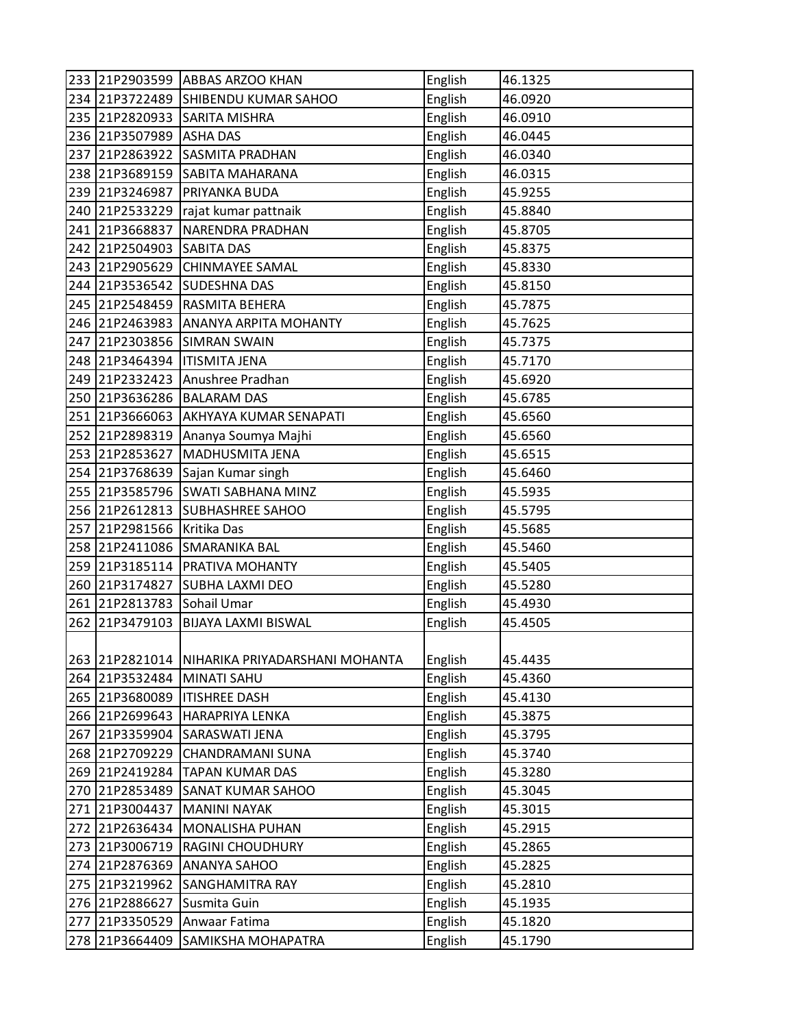|     |                | 233 21P2903599 ABBAS ARZOO KHAN               | English | 46.1325 |
|-----|----------------|-----------------------------------------------|---------|---------|
|     |                | 234 21P3722489 SHIBENDU KUMAR SAHOO           | English | 46.0920 |
|     | 235 21P2820933 | <b>SARITA MISHRA</b>                          | English | 46.0910 |
|     | 236 21P3507989 | <b>ASHA DAS</b>                               | English | 46.0445 |
| 237 | 21P2863922     | <b>SASMITA PRADHAN</b>                        | English | 46.0340 |
|     | 238 21P3689159 | <b>SABITA MAHARANA</b>                        | English | 46.0315 |
|     | 239 21P3246987 | PRIYANKA BUDA                                 | English | 45.9255 |
|     | 240 21P2533229 | rajat kumar pattnaik                          | English | 45.8840 |
|     | 241 21P3668837 | <b>NARENDRA PRADHAN</b>                       | English | 45.8705 |
|     | 242 21P2504903 | <b>SABITA DAS</b>                             | English | 45.8375 |
|     | 243 21P2905629 | <b>CHINMAYEE SAMAL</b>                        | English | 45.8330 |
|     | 244 21P3536542 | <b>SUDESHNA DAS</b>                           | English | 45.8150 |
|     | 245 21P2548459 | <b>RASMITA BEHERA</b>                         | English | 45.7875 |
|     | 246 21P2463983 | <b>ANANYA ARPITA MOHANTY</b>                  | English | 45.7625 |
|     | 247 21P2303856 | <b>SIMRAN SWAIN</b>                           | English | 45.7375 |
|     | 248 21P3464394 | <b>ITISMITA JENA</b>                          | English | 45.7170 |
|     | 249 21P2332423 | Anushree Pradhan                              | English | 45.6920 |
|     | 250 21P3636286 | <b>BALARAM DAS</b>                            | English | 45.6785 |
|     | 251 21P3666063 | AKHYAYA KUMAR SENAPATI                        | English | 45.6560 |
|     | 252 21P2898319 | Ananya Soumya Majhi                           | English | 45.6560 |
|     | 253 21P2853627 | MADHUSMITA JENA                               | English | 45.6515 |
|     | 254 21P3768639 | Sajan Kumar singh                             | English | 45.6460 |
|     | 255 21P3585796 | <b>SWATI SABHANA MINZ</b>                     | English | 45.5935 |
|     | 256 21P2612813 | <b>SUBHASHREE SAHOO</b>                       | English | 45.5795 |
| 257 | 21P2981566     | Kritika Das                                   | English | 45.5685 |
|     | 258 21P2411086 | <b>SMARANIKA BAL</b>                          | English | 45.5460 |
|     | 259 21P3185114 | <b>PRATIVA MOHANTY</b>                        | English | 45.5405 |
|     | 260 21P3174827 | <b>SUBHA LAXMI DEO</b>                        | English | 45.5280 |
|     | 261 21P2813783 | Sohail Umar                                   | English | 45.4930 |
| 262 | 21P3479103     | <b>BIJAYA LAXMI BISWAL</b>                    | English | 45.4505 |
|     |                |                                               |         |         |
|     |                | 263 21P2821014 NIHARIKA PRIYADARSHANI MOHANTA | English | 45.4435 |
|     | 264 21P3532484 | <b>MINATI SAHU</b>                            | English | 45.4360 |
|     | 265 21P3680089 | <b>ITISHREE DASH</b>                          | English | 45.4130 |
|     | 266 21P2699643 | <b>HARAPRIYA LENKA</b>                        | English | 45.3875 |
|     | 267 21P3359904 | SARASWATI JENA                                | English | 45.3795 |
|     | 268 21P2709229 | CHANDRAMANI SUNA                              | English | 45.3740 |
|     | 269 21P2419284 | <b>TAPAN KUMAR DAS</b>                        | English | 45.3280 |
|     | 270 21P2853489 | <b>SANAT KUMAR SAHOO</b>                      | English | 45.3045 |
|     | 271 21P3004437 | <b>MANINI NAYAK</b>                           | English | 45.3015 |
|     | 272 21P2636434 | <b>MONALISHA PUHAN</b>                        | English | 45.2915 |
|     | 273 21P3006719 | <b>RAGINI CHOUDHURY</b>                       | English | 45.2865 |
| 274 | 21P2876369     | <b>ANANYA SAHOO</b>                           | English | 45.2825 |
|     | 275 21P3219962 | <b>SANGHAMITRA RAY</b>                        | English | 45.2810 |
|     | 276 21P2886627 | Susmita Guin                                  | English | 45.1935 |
| 277 | 21P3350529     | Anwaar Fatima                                 | English | 45.1820 |
| 278 | 21P3664409     | SAMIKSHA MOHAPATRA                            | English | 45.1790 |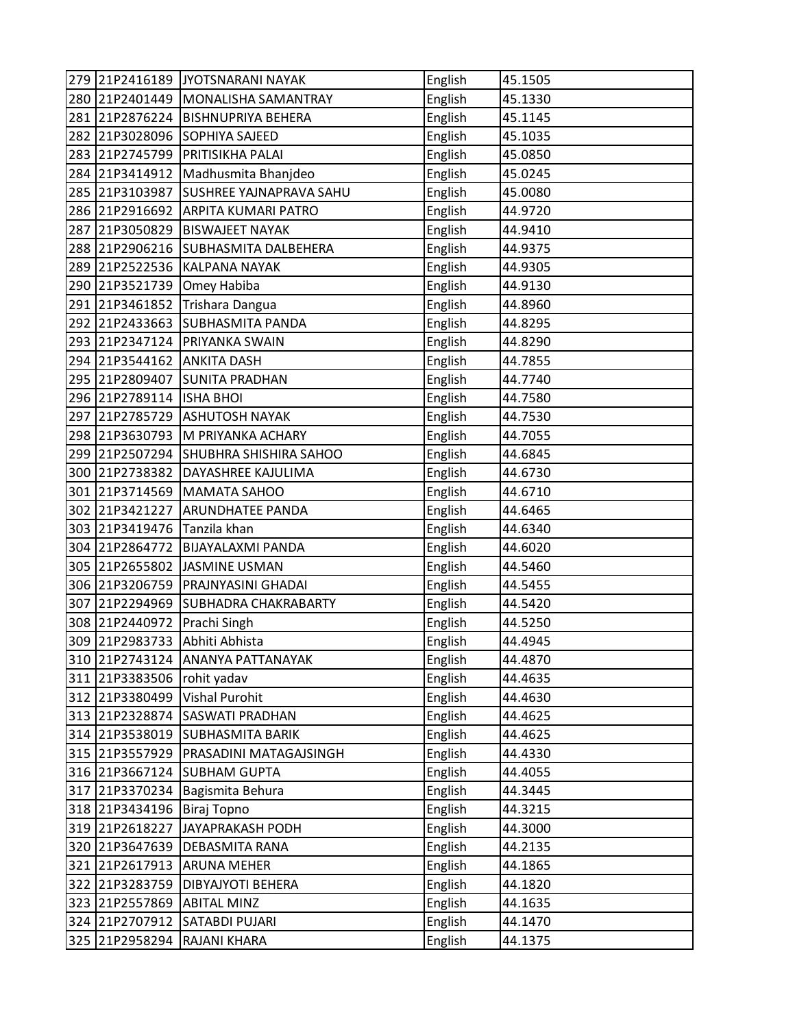|     |                | 279 21P2416189 JYOTSNARANI NAYAK   | English | 45.1505 |
|-----|----------------|------------------------------------|---------|---------|
|     |                | 280 21P2401449 MONALISHA SAMANTRAY | English | 45.1330 |
|     | 281 21P2876224 | <b>BISHNUPRIYA BEHERA</b>          | English | 45.1145 |
|     | 282 21P3028096 | <b>SOPHIYA SAJEED</b>              | English | 45.1035 |
|     | 283 21P2745799 | <b>PRITISIKHA PALAI</b>            | English | 45.0850 |
|     | 284 21P3414912 | Madhusmita Bhanjdeo                | English | 45.0245 |
|     | 285 21P3103987 | <b>SUSHREE YAJNAPRAVA SAHU</b>     | English | 45.0080 |
|     | 286 21P2916692 | <b>ARPITA KUMARI PATRO</b>         | English | 44.9720 |
| 287 | 21P3050829     | <b>BISWAJEET NAYAK</b>             | English | 44.9410 |
|     | 288 21P2906216 | <b>SUBHASMITA DALBEHERA</b>        | English | 44.9375 |
|     | 289 21P2522536 | KALPANA NAYAK                      | English | 44.9305 |
|     | 290 21P3521739 | Omey Habiba                        | English | 44.9130 |
|     | 291 21P3461852 | Trishara Dangua                    | English | 44.8960 |
|     | 292 21P2433663 | <b>SUBHASMITA PANDA</b>            | English | 44.8295 |
|     | 293 21P2347124 | <b>PRIYANKA SWAIN</b>              | English | 44.8290 |
|     | 294 21P3544162 | <b>ANKITA DASH</b>                 | English | 44.7855 |
|     | 295 21P2809407 | <b>SUNITA PRADHAN</b>              | English | 44.7740 |
|     | 296 21P2789114 | <b>ISHA BHOI</b>                   | English | 44.7580 |
| 297 | 21P2785729     | <b>ASHUTOSH NAYAK</b>              | English | 44.7530 |
|     | 298 21P3630793 | M PRIYANKA ACHARY                  | English | 44.7055 |
|     | 299 21P2507294 | <b>SHUBHRA SHISHIRA SAHOO</b>      | English | 44.6845 |
|     | 300 21P2738382 | DAYASHREE KAJULIMA                 | English | 44.6730 |
|     | 301 21P3714569 | <b>MAMATA SAHOO</b>                | English | 44.6710 |
|     | 302 21P3421227 | <b>ARUNDHATEE PANDA</b>            | English | 44.6465 |
|     | 303 21P3419476 | Tanzila khan                       | English | 44.6340 |
|     | 304 21P2864772 | <b>BIJAYALAXMI PANDA</b>           | English | 44.6020 |
|     | 305 21P2655802 | JASMINE USMAN                      | English | 44.5460 |
|     | 306 21P3206759 | PRAJNYASINI GHADAI                 | English | 44.5455 |
| 307 | 21P2294969     | <b>SUBHADRA CHAKRABARTY</b>        | English | 44.5420 |
|     | 308 21P2440972 | Prachi Singh                       | English | 44.5250 |
|     | 309 21P2983733 | Abhiti Abhista                     | English | 44.4945 |
|     |                | 310 21P2743124 ANANYA PATTANAYAK   | English | 44.4870 |
|     | 311 21P3383506 | rohit yadav                        | English | 44.4635 |
|     | 312 21P3380499 | <b>Vishal Purohit</b>              | English | 44.4630 |
|     | 313 21P2328874 | <b>SASWATI PRADHAN</b>             | English | 44.4625 |
|     | 314 21P3538019 | <b>SUBHASMITA BARIK</b>            | English | 44.4625 |
|     | 315 21P3557929 | PRASADINI MATAGAJSINGH             | English | 44.4330 |
|     | 316 21P3667124 | <b>SUBHAM GUPTA</b>                | English | 44.4055 |
|     | 317 21P3370234 | Bagismita Behura                   | English | 44.3445 |
|     | 318 21P3434196 | Biraj Topno                        | English | 44.3215 |
|     | 319 21P2618227 | JAYAPRAKASH PODH                   | English | 44.3000 |
|     | 320 21P3647639 | <b>DEBASMITA RANA</b>              | English | 44.2135 |
|     | 321 21P2617913 | <b>ARUNA MEHER</b>                 | English | 44.1865 |
|     | 322 21P3283759 | DIBYAJYOTI BEHERA                  | English | 44.1820 |
| 323 | 21P2557869     | <b>ABITAL MINZ</b>                 | English | 44.1635 |
|     | 324 21P2707912 | SATABDI PUJARI                     | English | 44.1470 |
| 325 | 21P2958294     | RAJANI KHARA                       | English | 44.1375 |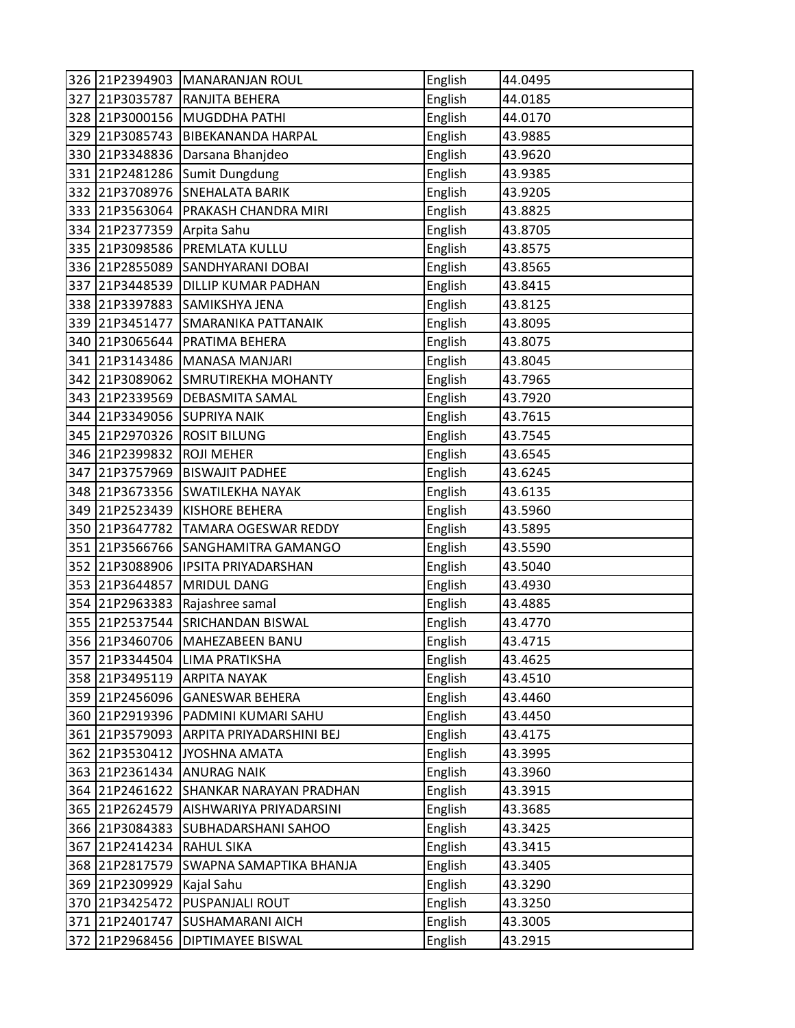|     |                           | 326 21P2394903 MANARANJAN ROUL     | English | 44.0495 |
|-----|---------------------------|------------------------------------|---------|---------|
|     |                           | 327 21P3035787 RANJITA BEHERA      | English | 44.0185 |
|     |                           | 328 21P3000156 MUGDDHA PATHI       | English | 44.0170 |
|     | 329 21P3085743            | <b>BIBEKANANDA HARPAL</b>          | English | 43.9885 |
|     |                           | 330 21P3348836 Darsana Bhanjdeo    | English | 43.9620 |
| 331 |                           | 21P2481286 Sumit Dungdung          | English | 43.9385 |
|     |                           | 332 21P3708976 SNEHALATA BARIK     | English | 43.9205 |
|     | 333 21P3563064            | PRAKASH CHANDRA MIRI               | English | 43.8825 |
|     | 334 21P2377359            | Arpita Sahu                        | English | 43.8705 |
|     |                           | 335 21P3098586 PREMLATA KULLU      | English | 43.8575 |
|     |                           | 336 21P2855089 SANDHYARANI DOBAI   | English | 43.8565 |
| 337 |                           | 21P3448539 DILLIP KUMAR PADHAN     | English | 43.8415 |
|     | 338 21P3397883            | SAMIKSHYA JENA                     | English | 43.8125 |
|     | 339 21P3451477            | SMARANIKA PATTANAIK                | English | 43.8095 |
|     | 340 21P3065644            | <b>PRATIMA BEHERA</b>              | English | 43.8075 |
|     |                           | 341 21P3143486 MANASA MANJARI      | English | 43.8045 |
|     |                           | 342 21P3089062 SMRUTIREKHA MOHANTY | English | 43.7965 |
|     | 343 21P2339569            | <b>DEBASMITA SAMAL</b>             | English | 43.7920 |
|     | 344 21P3349056            | <b>SUPRIYA NAIK</b>                | English | 43.7615 |
|     |                           | 345 21P2970326 ROSIT BILUNG        | English | 43.7545 |
|     | 346 21P2399832 ROJI MEHER |                                    | English | 43.6545 |
| 347 |                           | 21P3757969 BISWAJIT PADHEE         | English | 43.6245 |
| 348 | 21P3673356                | <b>SWATILEKHA NAYAK</b>            | English | 43.6135 |
| 349 | 21P2523439                | <b>KISHORE BEHERA</b>              | English | 43.5960 |
|     | 350 21P3647782            | <b>TAMARA OGESWAR REDDY</b>        | English | 43.5895 |
|     |                           | 351 21P3566766 SANGHAMITRA GAMANGO | English | 43.5590 |
|     |                           | 352 21P3088906 IPSITA PRIYADARSHAN | English | 43.5040 |
| 353 | 21P3644857                | <b>MRIDUL DANG</b>                 | English | 43.4930 |
| 354 | 21P2963383                | Rajashree samal                    | English | 43.4885 |
| 355 | 21P2537544                | <b>SRICHANDAN BISWAL</b>           | English | 43.4770 |
|     |                           | 356 21P3460706 MAHEZABEEN BANU     | English | 43.4715 |
|     |                           | 357 21P3344504 LIMA PRATIKSHA      | English | 43.4625 |
|     | 358 21P3495119            | <b>ARPITA NAYAK</b>                | English | 43.4510 |
|     |                           | 359 21P2456096 GANESWAR BEHERA     | English | 43.4460 |
|     |                           | 360 21P2919396 PADMINI KUMARI SAHU | English | 43.4450 |
|     | 361 21P3579093            | ARPITA PRIYADARSHINI BEJ           | English | 43.4175 |
|     | 362 21P3530412            | JYOSHNA AMATA                      | English | 43.3995 |
|     | 363 21P2361434            | <b>ANURAG NAIK</b>                 | English | 43.3960 |
|     | 364 21P2461622            | <b>SHANKAR NARAYAN PRADHAN</b>     | English | 43.3915 |
|     | 365 21P2624579            | AISHWARIYA PRIYADARSINI            | English | 43.3685 |
|     | 366 21P3084383            | <b>SUBHADARSHANI SAHOO</b>         | English | 43.3425 |
| 367 | 21P2414234                | <b>RAHUL SIKA</b>                  | English | 43.3415 |
|     | 368 21P2817579            | SWAPNA SAMAPTIKA BHANJA            | English | 43.3405 |
|     | 369 21P2309929            | Kajal Sahu                         | English | 43.3290 |
|     | 370 21P3425472            | <b>PUSPANJALI ROUT</b>             | English | 43.3250 |
|     | 371 21P2401747            | <b>SUSHAMARANI AICH</b>            | English | 43.3005 |
|     | 372 21P2968456            | <b>DIPTIMAYEE BISWAL</b>           | English | 43.2915 |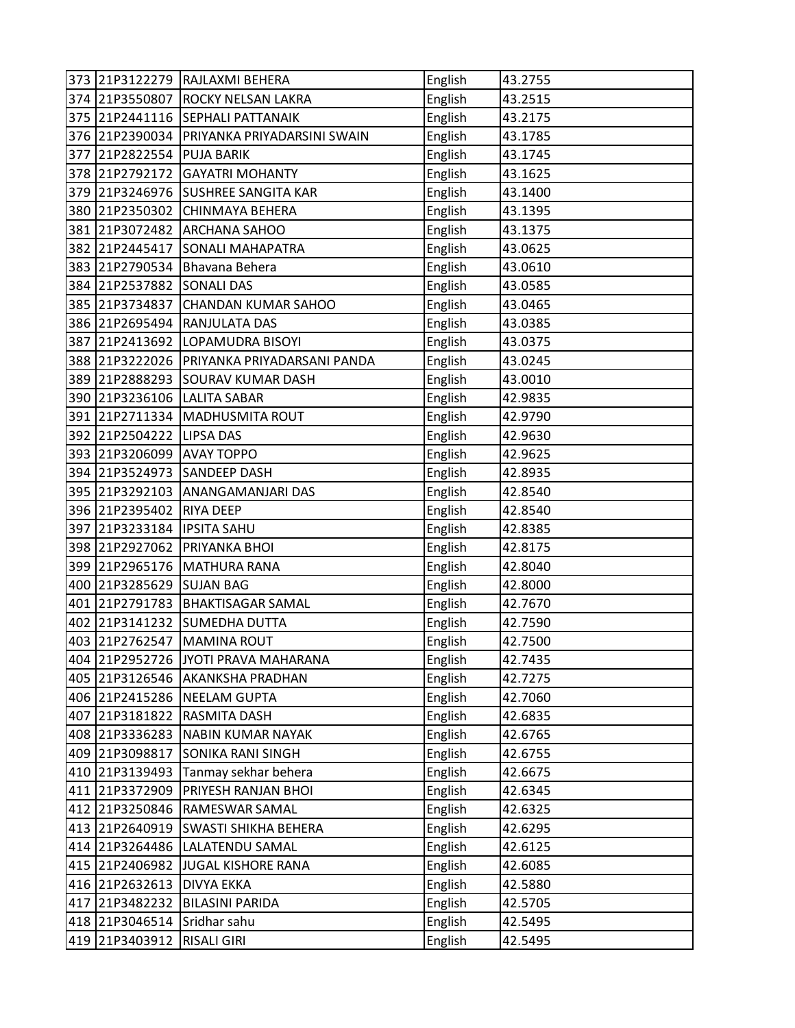|     |                | 373 21P3122279 RAJLAXMI BEHERA      | English | 43.2755 |
|-----|----------------|-------------------------------------|---------|---------|
|     | 374 21P3550807 | <b>ROCKY NELSAN LAKRA</b>           | English | 43.2515 |
|     | 375 21P2441116 | <b>SEPHALI PATTANAIK</b>            | English | 43.2175 |
|     | 376 21P2390034 | PRIYANKA PRIYADARSINI SWAIN         | English | 43.1785 |
| 377 | 21P2822554     | <b>PUJA BARIK</b>                   | English | 43.1745 |
| 378 | 21P2792172     | <b>GAYATRI MOHANTY</b>              | English | 43.1625 |
|     |                | 379 21P3246976 SUSHREE SANGITA KAR  | English | 43.1400 |
|     | 380 21P2350302 | <b>CHINMAYA BEHERA</b>              | English | 43.1395 |
|     | 381 21P3072482 | <b>ARCHANA SAHOO</b>                | English | 43.1375 |
|     | 382 21P2445417 | <b>SONALI MAHAPATRA</b>             | English | 43.0625 |
|     | 383 21P2790534 | Bhavana Behera                      | English | 43.0610 |
|     | 384 21P2537882 | <b>SONALI DAS</b>                   | English | 43.0585 |
|     | 385 21P3734837 | <b>CHANDAN KUMAR SAHOO</b>          | English | 43.0465 |
|     | 386 21P2695494 | <b>RANJULATA DAS</b>                | English | 43.0385 |
| 387 | 21P2413692     | LOPAMUDRA BISOYI                    | English | 43.0375 |
|     | 388 21P3222026 | PRIYANKA PRIYADARSANI PANDA         | English | 43.0245 |
|     | 389 21P2888293 | <b>SOURAV KUMAR DASH</b>            | English | 43.0010 |
|     | 390 21P3236106 | <b>LALITA SABAR</b>                 | English | 42.9835 |
|     | 391 21P2711334 | MADHUSMITA ROUT                     | English | 42.9790 |
|     | 392 21P2504222 | <b>LIPSA DAS</b>                    | English | 42.9630 |
|     | 393 21P3206099 | <b>AVAY TOPPO</b>                   | English | 42.9625 |
|     | 394 21P3524973 | <b>SANDEEP DASH</b>                 | English | 42.8935 |
|     | 395 21P3292103 | <b>ANANGAMANJARI DAS</b>            | English | 42.8540 |
|     | 396 21P2395402 | <b>RIYA DEEP</b>                    | English | 42.8540 |
| 397 | 21P3233184     | <b>IPSITA SAHU</b>                  | English | 42.8385 |
|     | 398 21P2927062 | <b>PRIYANKA BHOI</b>                | English | 42.8175 |
|     | 399 21P2965176 | <b>MATHURA RANA</b>                 | English | 42.8040 |
|     | 400 21P3285629 | <b>SUJAN BAG</b>                    | English | 42.8000 |
| 401 | 21P2791783     | <b>BHAKTISAGAR SAMAL</b>            | English | 42.7670 |
|     | 402 21P3141232 | <b>SUMEDHA DUTTA</b>                | English | 42.7590 |
|     | 403 21P2762547 | <b>MAMINA ROUT</b>                  | English | 42.7500 |
|     |                | 404 21P2952726 JYOTI PRAVA MAHARANA | English | 42.7435 |
|     | 405 21P3126546 | <b>AKANKSHA PRADHAN</b>             | English | 42.7275 |
|     | 406 21P2415286 | <b>NEELAM GUPTA</b>                 | English | 42.7060 |
|     | 407 21P3181822 | <b>RASMITA DASH</b>                 | English | 42.6835 |
|     | 408 21P3336283 | <b>NABIN KUMAR NAYAK</b>            | English | 42.6765 |
|     | 409 21P3098817 | <b>SONIKA RANI SINGH</b>            | English | 42.6755 |
|     | 410 21P3139493 | Tanmay sekhar behera                | English | 42.6675 |
|     | 411 21P3372909 | PRIYESH RANJAN BHOI                 | English | 42.6345 |
|     | 412 21P3250846 | <b>RAMESWAR SAMAL</b>               | English | 42.6325 |
|     | 413 21P2640919 | <b>SWASTI SHIKHA BEHERA</b>         | English | 42.6295 |
|     | 414 21P3264486 | LALATENDU SAMAL                     | English | 42.6125 |
|     | 415 21P2406982 | JUGAL KISHORE RANA                  | English | 42.6085 |
|     | 416 21P2632613 | <b>DIVYA EKKA</b>                   | English | 42.5880 |
| 417 | 21P3482232     | <b>BILASINI PARIDA</b>              | English | 42.5705 |
|     | 418 21P3046514 | Sridhar sahu                        | English | 42.5495 |
|     | 419 21P3403912 | <b>RISALI GIRI</b>                  | English | 42.5495 |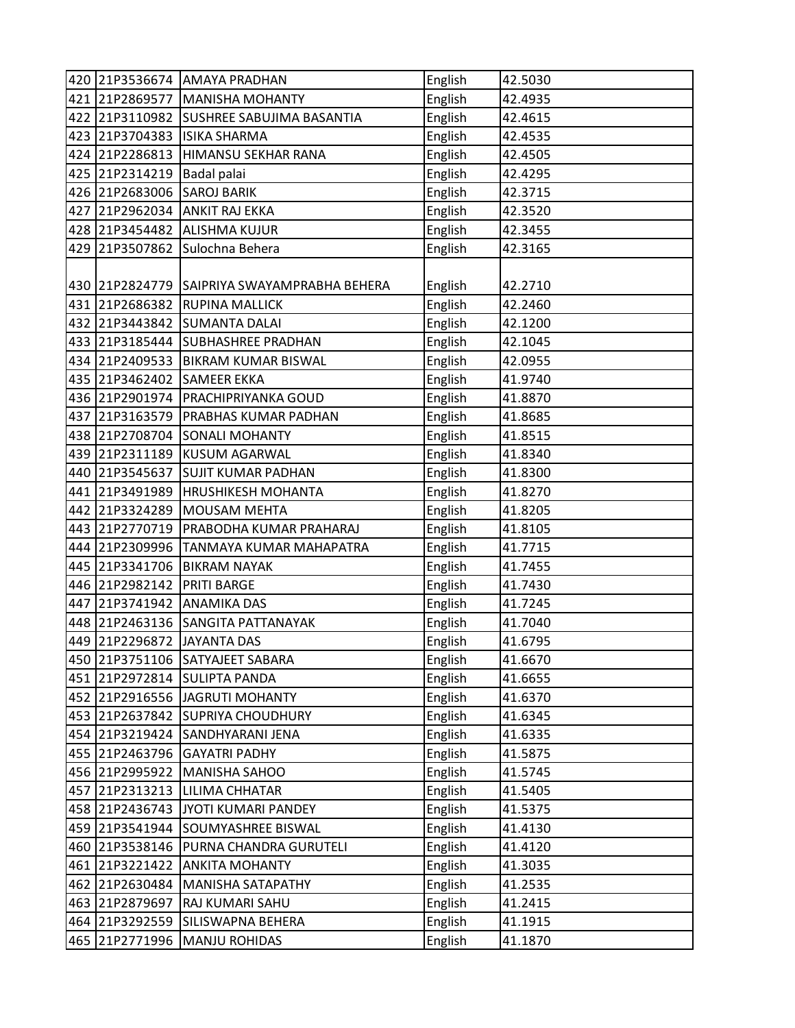|     |                             | 420 21P3536674 AMAYA PRADHAN    | English | 42.5030 |
|-----|-----------------------------|---------------------------------|---------|---------|
| 421 | 21P2869577                  | MANISHA MOHANTY                 | English | 42.4935 |
| 422 | 21P3110982                  | SUSHREE SABUJIMA BASANTIA       | English | 42.4615 |
|     | 423 21P3704383              | <b>ISIKA SHARMA</b>             | English | 42.4535 |
| 424 | 21P2286813                  | HIMANSU SEKHAR RANA             | English | 42.4505 |
|     | 425 21P2314219              | Badal palai                     | English | 42.4295 |
|     | 426 21P2683006              | <b>SAROJ BARIK</b>              | English | 42.3715 |
| 427 | 21P2962034                  | <b>ANKIT RAJ EKKA</b>           | English | 42.3520 |
|     | 428 21P3454482              | <b>ALISHMA KUJUR</b>            | English | 42.3455 |
| 429 | 21P3507862                  | Sulochna Behera                 | English | 42.3165 |
|     |                             |                                 |         |         |
|     | 430 21P2824779              | SAIPRIYA SWAYAMPRABHA BEHERA    | English | 42.2710 |
|     | 431 21P2686382              | <b>RUPINA MALLICK</b>           | English | 42.2460 |
|     | 432 21P3443842              | <b>SUMANTA DALAI</b>            | English | 42.1200 |
| 433 | 21P3185444                  | <b>SUBHASHREE PRADHAN</b>       | English | 42.1045 |
|     | 434 21P2409533              | <b>BIKRAM KUMAR BISWAL</b>      | English | 42.0955 |
|     | 435 21P3462402              | <b>SAMEER EKKA</b>              | English | 41.9740 |
|     | 436 21P2901974              | <b>PRACHIPRIYANKA GOUD</b>      | English | 41.8870 |
| 437 | 21P3163579                  | <b>PRABHAS KUMAR PADHAN</b>     | English | 41.8685 |
|     | 438 21P2708704              | <b>SONALI MOHANTY</b>           | English | 41.8515 |
|     | 439 21P2311189              | <b>KUSUM AGARWAL</b>            | English | 41.8340 |
|     | 440 21P3545637              | <b>SUJIT KUMAR PADHAN</b>       | English | 41.8300 |
| 441 | 21P3491989                  | <b>HRUSHIKESH MOHANTA</b>       | English | 41.8270 |
|     | 442 21P3324289              | <b>MOUSAM MEHTA</b>             | English | 41.8205 |
| 443 | 21P2770719                  | <b>PRABODHA KUMAR PRAHARAJ</b>  | English | 41.8105 |
| 444 | 21P2309996                  | TANMAYA KUMAR MAHAPATRA         | English | 41.7715 |
|     | 445 21P3341706              | <b>BIKRAM NAYAK</b>             | English | 41.7455 |
|     | 446 21P2982142              | <b>PRITI BARGE</b>              | English | 41.7430 |
| 447 | 21P3741942                  | <b>ANAMIKA DAS</b>              | English | 41.7245 |
|     | 448 21P2463136              | <b>SANGITA PATTANAYAK</b>       | English | 41.7040 |
|     | 449 21P2296872 JJAYANTA DAS |                                 | English | 41.6795 |
|     |                             | 450 21P3751106 SATYAJEET SABARA | English | 41.6670 |
|     | 451 21P2972814              | <b>SULIPTA PANDA</b>            | English | 41.6655 |
|     | 452 21P2916556              | JAGRUTI MOHANTY                 | English | 41.6370 |
|     | 453 21P2637842              | <b>SUPRIYA CHOUDHURY</b>        | English | 41.6345 |
|     | 454 21P3219424              | SANDHYARANI JENA                | English | 41.6335 |
|     | 455 21P2463796              | <b>GAYATRI PADHY</b>            | English | 41.5875 |
|     | 456 21P2995922              | MANISHA SAHOO                   | English | 41.5745 |
|     | 457 21P2313213              | <b>LILIMA CHHATAR</b>           | English | 41.5405 |
|     | 458 21P2436743              | JYOTI KUMARI PANDEY             | English | 41.5375 |
|     | 459 21P3541944              | <b>SOUMYASHREE BISWAL</b>       | English | 41.4130 |
| 460 | 21P3538146                  | PURNA CHANDRA GURUTELI          | English | 41.4120 |
|     | 461 21P3221422              | <b>ANKITA MOHANTY</b>           | English | 41.3035 |
|     | 462 21P2630484              | <b>MANISHA SATAPATHY</b>        | English | 41.2535 |
|     | 463 21P2879697              | <b>RAJ KUMARI SAHU</b>          | English | 41.2415 |
| 464 | 21P3292559                  | SILISWAPNA BEHERA               | English | 41.1915 |
| 465 | 21P2771996                  | <b>MANJU ROHIDAS</b>            | English | 41.1870 |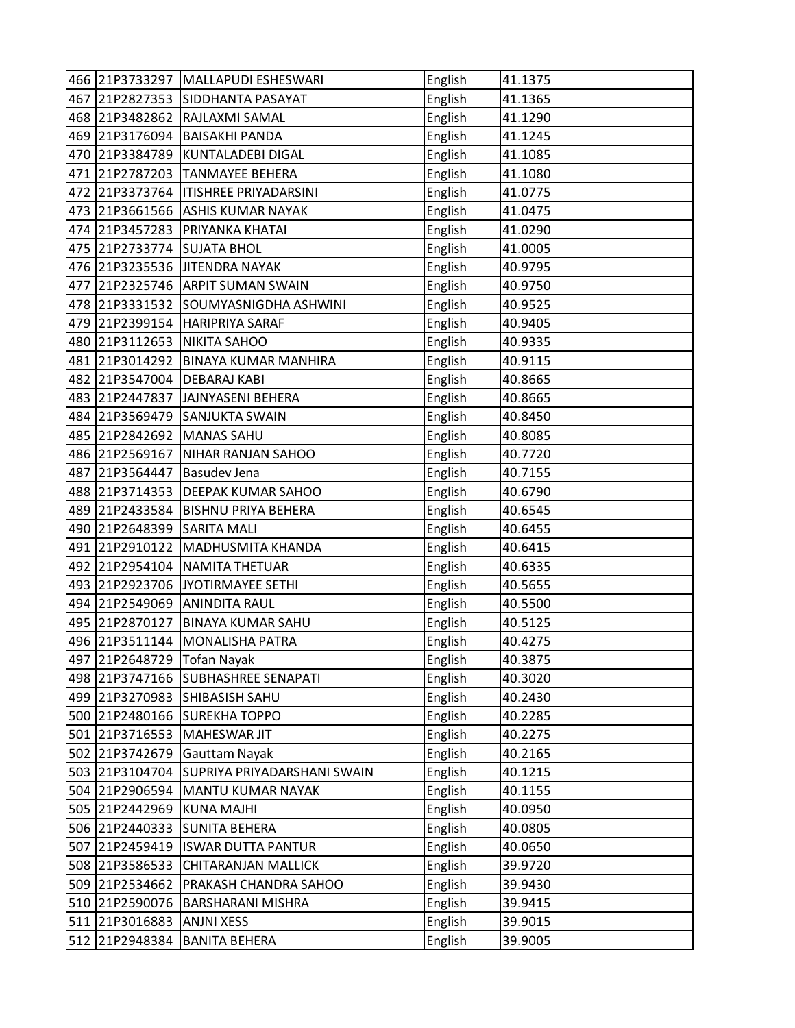|     | 466 21P3733297             | MALLAPUDI ESHESWARI          | English | 41.1375 |
|-----|----------------------------|------------------------------|---------|---------|
| 467 | 21P2827353                 | SIDDHANTA PASAYAT            | English | 41.1365 |
|     | 468 21P3482862             | RAJLAXMI SAMAL               | English | 41.1290 |
| 469 | 21P3176094                 | <b>BAISAKHI PANDA</b>        | English | 41.1245 |
| 470 | 21P3384789                 | KUNTALADEBI DIGAL            | English | 41.1085 |
|     | 471 21P2787203             | <b>TANMAYEE BEHERA</b>       | English | 41.1080 |
|     | 472 21P3373764             | <b>ITISHREE PRIYADARSINI</b> | English | 41.0775 |
|     | 473 21P3661566             | <b>ASHIS KUMAR NAYAK</b>     | English | 41.0475 |
|     | 474 21P3457283             | <b>PRIYANKA KHATAI</b>       | English | 41.0290 |
| 475 | 21P2733774                 | <b>SUJATA BHOL</b>           | English | 41.0005 |
|     | 476 21P3235536             | <b>JITENDRA NAYAK</b>        | English | 40.9795 |
| 477 |                            | 21P2325746 ARPIT SUMAN SWAIN | English | 40.9750 |
|     | 478 21P3331532             | SOUMYASNIGDHA ASHWINI        | English | 40.9525 |
|     | 479 21P2399154             | <b>HARIPRIYA SARAF</b>       | English | 40.9405 |
|     | 480 21P3112653             | <b>NIKITA SAHOO</b>          | English | 40.9335 |
|     | 481 21P3014292             | <b>BINAYA KUMAR MANHIRA</b>  | English | 40.9115 |
|     | 482 21P3547004             | <b>DEBARAJ KABI</b>          | English | 40.8665 |
|     | 483 21P2447837             | JAJNYASENI BEHERA            | English | 40.8665 |
|     | 484 21P3569479             | <b>SANJUKTA SWAIN</b>        | English | 40.8450 |
|     | 485 21P2842692             | <b>MANAS SAHU</b>            | English | 40.8085 |
|     | 486 21P2569167             | NIHAR RANJAN SAHOO           | English | 40.7720 |
|     | 487 21P3564447             | <b>Basudev Jena</b>          | English | 40.7155 |
|     | 488 21P3714353             | <b>DEEPAK KUMAR SAHOO</b>    | English | 40.6790 |
|     | 489 21P2433584             | <b>BISHNU PRIYA BEHERA</b>   | English | 40.6545 |
|     | 490 21P2648399             | <b>SARITA MALI</b>           | English | 40.6455 |
|     | 491 21P2910122             | MADHUSMITA KHANDA            | English | 40.6415 |
|     | 492 21P2954104             | NAMITA THETUAR               | English | 40.6335 |
| 493 | 21P2923706                 | JYOTIRMAYEE SETHI            | English | 40.5655 |
|     | 494 21P2549069             | <b>ANINDITA RAUL</b>         | English | 40.5500 |
| 495 | 21P2870127                 | <b>BINAYA KUMAR SAHU</b>     | English | 40.5125 |
|     | 496 21P3511144             | MONALISHA PATRA              | English | 40.4275 |
|     | 497 21P2648729 Tofan Nayak |                              | English | 40.3875 |
|     | 498 21P3747166             | <b>SUBHASHREE SENAPATI</b>   | English | 40.3020 |
|     | 499 21P3270983             | SHIBASISH SAHU               | English | 40.2430 |
|     | 500 21P2480166             | <b>SUREKHA TOPPO</b>         | English | 40.2285 |
|     | 501 21P3716553             | MAHESWAR JIT                 | English | 40.2275 |
|     | 502 21P3742679             | <b>Gauttam Nayak</b>         | English | 40.2165 |
|     | 503 21P3104704             | SUPRIYA PRIYADARSHANI SWAIN  | English | 40.1215 |
|     | 504 21P2906594             | <b>MANTU KUMAR NAYAK</b>     | English | 40.1155 |
|     | 505 21P2442969             | <b>KUNA MAJHI</b>            | English | 40.0950 |
|     | 506 21P2440333             | <b>SUNITA BEHERA</b>         | English | 40.0805 |
|     | 507 21P2459419             | <b>ISWAR DUTTA PANTUR</b>    | English | 40.0650 |
|     | 508 21P3586533             | <b>CHITARANJAN MALLICK</b>   | English | 39.9720 |
|     | 509 21P2534662             | PRAKASH CHANDRA SAHOO        | English | 39.9430 |
|     | 510 21P2590076             | <b>BARSHARANI MISHRA</b>     | English | 39.9415 |
|     | 511 21P3016883             | <b>ANJNI XESS</b>            | English | 39.9015 |
| 512 | 21P2948384                 | <b>BANITA BEHERA</b>         | English | 39.9005 |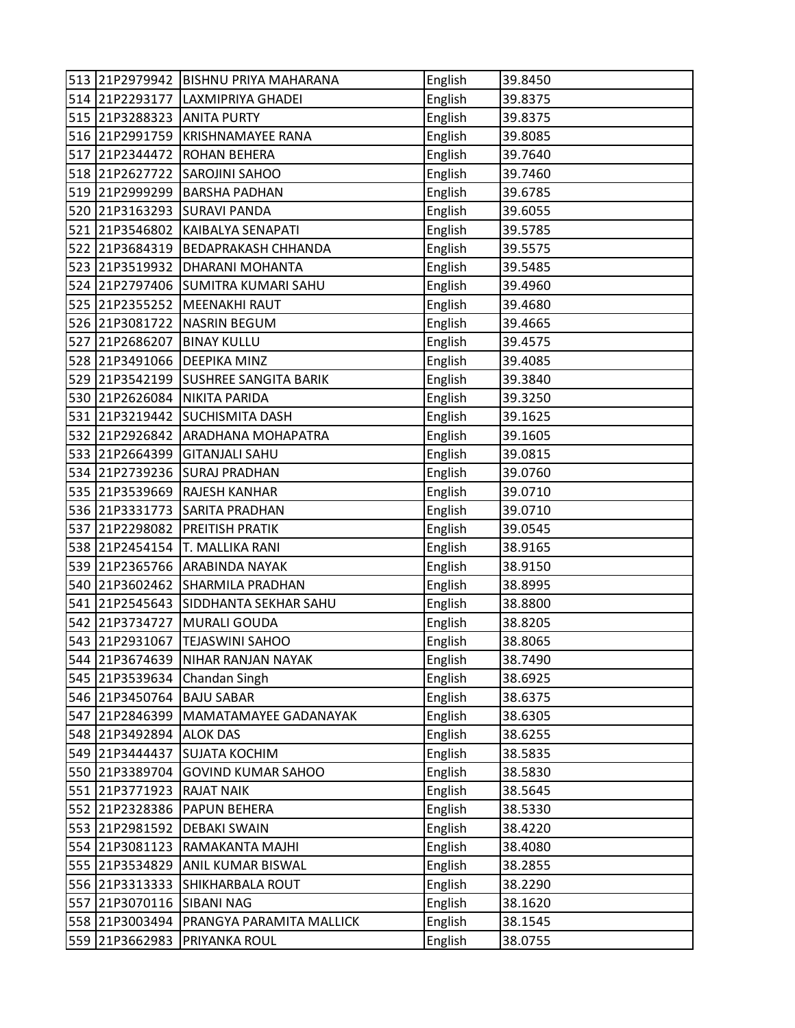|     |                | 513 21P2979942 BISHNU PRIYA MAHARANA | English | 39.8450 |
|-----|----------------|--------------------------------------|---------|---------|
|     | 514 21P2293177 | LAXMIPRIYA GHADEI                    | English | 39.8375 |
|     | 515 21P3288323 | <b>ANITA PURTY</b>                   | English | 39.8375 |
|     | 516 21P2991759 | <b>KRISHNAMAYEE RANA</b>             | English | 39.8085 |
| 517 | 21P2344472     | <b>ROHAN BEHERA</b>                  | English | 39.7640 |
| 518 | 21P2627722     | <b>SAROJINI SAHOO</b>                | English | 39.7460 |
| 519 | 21P2999299     | <b>BARSHA PADHAN</b>                 | English | 39.6785 |
| 520 | 21P3163293     | <b>SURAVI PANDA</b>                  | English | 39.6055 |
| 521 | 21P3546802     | KAIBALYA SENAPATI                    | English | 39.5785 |
| 522 | 21P3684319     | <b>BEDAPRAKASH CHHANDA</b>           | English | 39.5575 |
| 523 | 21P3519932     | DHARANI MOHANTA                      | English | 39.5485 |
|     | 524 21P2797406 | <b>SUMITRA KUMARI SAHU</b>           | English | 39.4960 |
|     | 525 21P2355252 | <b>MEENAKHI RAUT</b>                 | English | 39.4680 |
|     | 526 21P3081722 | <b>NASRIN BEGUM</b>                  | English | 39.4665 |
| 527 | 21P2686207     | <b>BINAY KULLU</b>                   | English | 39.4575 |
|     | 528 21P3491066 | <b>DEEPIKA MINZ</b>                  | English | 39.4085 |
|     | 529 21P3542199 | <b>SUSHREE SANGITA BARIK</b>         | English | 39.3840 |
| 530 | 21P2626084     | NIKITA PARIDA                        | English | 39.3250 |
| 531 | 21P3219442     | <b>SUCHISMITA DASH</b>               | English | 39.1625 |
| 532 | 21P2926842     | <b>ARADHANA MOHAPATRA</b>            | English | 39.1605 |
|     | 533 21P2664399 | <b>GITANJALI SAHU</b>                | English | 39.0815 |
|     |                | 534 21P2739236 SURAJ PRADHAN         | English | 39.0760 |
| 535 | 21P3539669     | <b>RAJESH KANHAR</b>                 | English | 39.0710 |
|     | 536 21P3331773 | <b>SARITA PRADHAN</b>                | English | 39.0710 |
| 537 | 21P2298082     | <b>PREITISH PRATIK</b>               | English | 39.0545 |
|     | 538 21P2454154 | <b>T. MALLIKA RANI</b>               | English | 38.9165 |
| 539 | 21P2365766     | <b>ARABINDA NAYAK</b>                | English | 38.9150 |
| 540 | 21P3602462     | <b>SHARMILA PRADHAN</b>              | English | 38.8995 |
| 541 | 21P2545643     | SIDDHANTA SEKHAR SAHU                | English | 38.8800 |
| 542 | 21P3734727     | MURALI GOUDA                         | English | 38.8205 |
|     | 543 21P2931067 | <b>TEJASWINI SAHOO</b>               | English | 38.8065 |
|     | 544 21P3674639 | NIHAR RANJAN NAYAK                   | English | 38.7490 |
|     | 545 21P3539634 | Chandan Singh                        | English | 38.6925 |
|     | 546 21P3450764 | <b>BAJU SABAR</b>                    | English | 38.6375 |
| 547 | 21P2846399     | MAMATAMAYEE GADANAYAK                | English | 38.6305 |
|     | 548 21P3492894 | <b>ALOK DAS</b>                      | English | 38.6255 |
|     | 549 21P3444437 | <b>SUJATA KOCHIM</b>                 | English | 38.5835 |
|     | 550 21P3389704 | <b>GOVIND KUMAR SAHOO</b>            | English | 38.5830 |
|     | 551 21P3771923 | <b>RAJAT NAIK</b>                    | English | 38.5645 |
| 552 | 21P2328386     | <b>PAPUN BEHERA</b>                  | English | 38.5330 |
|     | 553 21P2981592 | <b>DEBAKI SWAIN</b>                  | English | 38.4220 |
|     | 554 21P3081123 | RAMAKANTA MAJHI                      | English | 38.4080 |
|     | 555 21P3534829 | ANIL KUMAR BISWAL                    | English | 38.2855 |
|     | 556 21P3313333 | <b>SHIKHARBALA ROUT</b>              | English | 38.2290 |
| 557 | 21P3070116     | <b>SIBANI NAG</b>                    | English | 38.1620 |
|     | 558 21P3003494 | PRANGYA PARAMITA MALLICK             | English | 38.1545 |
| 559 | 21P3662983     | PRIYANKA ROUL                        | English | 38.0755 |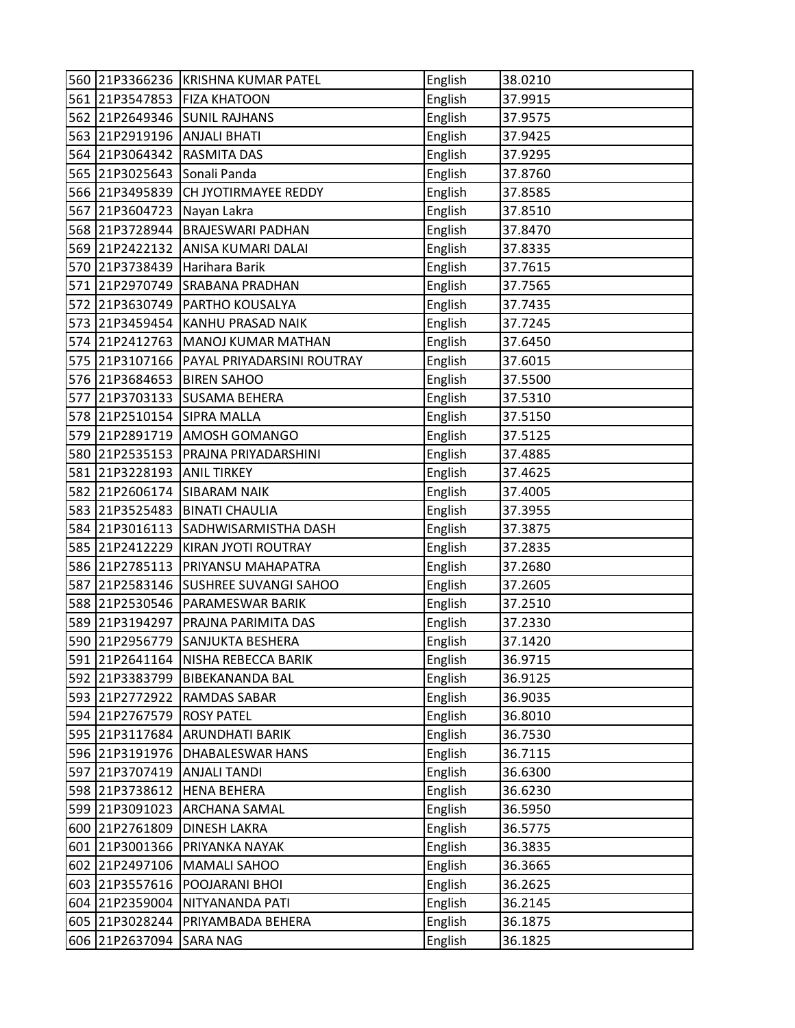|     |                | 560 21P3366236 KRISHNA KUMAR PATEL    | English | 38.0210 |
|-----|----------------|---------------------------------------|---------|---------|
|     | 561 21P3547853 | <b>FIZA KHATOON</b>                   | English | 37.9915 |
|     | 562 21P2649346 | <b>SUNIL RAJHANS</b>                  | English | 37.9575 |
|     | 563 21P2919196 | <b>ANJALI BHATI</b>                   | English | 37.9425 |
| 564 | 21P3064342     | <b>RASMITA DAS</b>                    | English | 37.9295 |
| 565 | 21P3025643     | Sonali Panda                          | English | 37.8760 |
|     | 566 21P3495839 | <b>CH JYOTIRMAYEE REDDY</b>           | English | 37.8585 |
| 567 | 21P3604723     | Nayan Lakra                           | English | 37.8510 |
|     | 568 21P3728944 | <b>BRAJESWARI PADHAN</b>              | English | 37.8470 |
| 569 | 21P2422132     | ANISA KUMARI DALAI                    | English | 37.8335 |
|     | 570 21P3738439 | Harihara Barik                        | English | 37.7615 |
|     | 571 21P2970749 | SRABANA PRADHAN                       | English | 37.7565 |
|     | 572 21P3630749 | <b>PARTHO KOUSALYA</b>                | English | 37.7435 |
| 573 | 21P3459454     | <b>KANHU PRASAD NAIK</b>              | English | 37.7245 |
| 574 | 21P2412763     | MANOJ KUMAR MATHAN                    | English | 37.6450 |
| 575 |                | 21P3107166 PAYAL PRIYADARSINI ROUTRAY | English | 37.6015 |
|     | 576 21P3684653 | <b>BIREN SAHOO</b>                    | English | 37.5500 |
| 577 | 21P3703133     | <b>SUSAMA BEHERA</b>                  | English | 37.5310 |
|     | 578 21P2510154 | <b>SIPRA MALLA</b>                    | English | 37.5150 |
| 579 | 21P2891719     | <b>AMOSH GOMANGO</b>                  | English | 37.5125 |
|     | 580 21P2535153 | PRAJNA PRIYADARSHINI                  | English | 37.4885 |
|     | 581 21P3228193 | <b>ANIL TIRKEY</b>                    | English | 37.4625 |
| 582 | 21P2606174     | <b>SIBARAM NAIK</b>                   | English | 37.4005 |
| 583 | 21P3525483     | <b>BINATI CHAULIA</b>                 | English | 37.3955 |
|     | 584 21P3016113 | SADHWISARMISTHA DASH                  | English | 37.3875 |
|     | 585 21P2412229 | KIRAN JYOTI ROUTRAY                   | English | 37.2835 |
|     | 586 21P2785113 | PRIYANSU MAHAPATRA                    | English | 37.2680 |
| 587 | 21P2583146     | <b>SUSHREE SUVANGI SAHOO</b>          | English | 37.2605 |
| 588 | 21P2530546     | <b>PARAMESWAR BARIK</b>               | English | 37.2510 |
| 589 | 21P3194297     | PRAJNA PARIMITA DAS                   | English | 37.2330 |
|     | 590 21P2956779 | <b>SANJUKTA BESHERA</b>               | English | 37.1420 |
|     |                | 591 21P2641164 NISHA REBECCA BARIK    | English | 36.9715 |
|     | 592 21P3383799 | <b>BIBEKANANDA BAL</b>                | English | 36.9125 |
|     | 593 21P2772922 | <b>RAMDAS SABAR</b>                   | English | 36.9035 |
|     | 594 21P2767579 | <b>ROSY PATEL</b>                     | English | 36.8010 |
|     | 595 21P3117684 | <b>ARUNDHATI BARIK</b>                | English | 36.7530 |
|     | 596 21P3191976 | <b>DHABALESWAR HANS</b>               | English | 36.7115 |
|     | 597 21P3707419 | <b>ANJALI TANDI</b>                   | English | 36.6300 |
|     | 598 21P3738612 | <b>HENA BEHERA</b>                    | English | 36.6230 |
|     | 599 21P3091023 | <b>ARCHANA SAMAL</b>                  | English | 36.5950 |
|     | 600 21P2761809 | <b>DINESH LAKRA</b>                   | English | 36.5775 |
| 601 | 21P3001366     | PRIYANKA NAYAK                        | English | 36.3835 |
|     | 602 21P2497106 | <b>MAMALI SAHOO</b>                   | English | 36.3665 |
|     | 603 21P3557616 | POOJARANI BHOI                        | English | 36.2625 |
|     | 604 21P2359004 | NITYANANDA PATI                       | English | 36.2145 |
|     | 605 21P3028244 | PRIYAMBADA BEHERA                     | English | 36.1875 |
|     | 606 21P2637094 | <b>SARA NAG</b>                       | English | 36.1825 |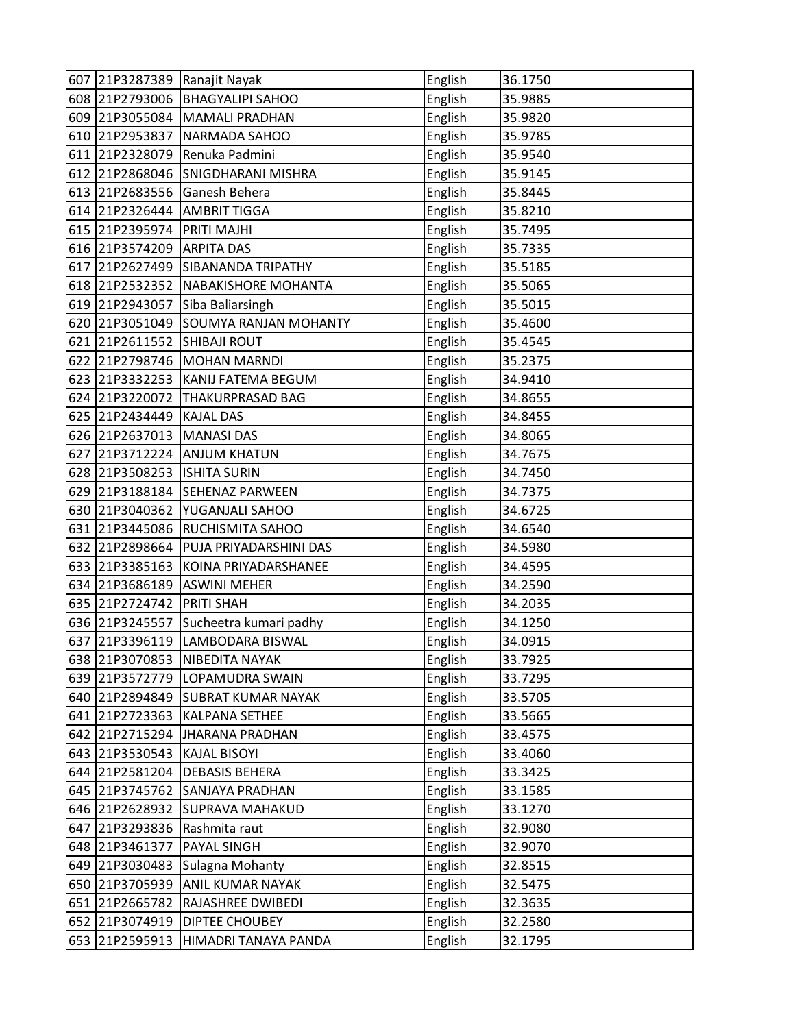|     |                | 607 21P3287389 Ranajit Nayak    | English | 36.1750 |
|-----|----------------|---------------------------------|---------|---------|
|     |                | 608 21P2793006 BHAGYALIPI SAHOO | English | 35.9885 |
|     | 609 21P3055084 | MAMALI PRADHAN                  | English | 35.9820 |
|     | 610 21P2953837 | NARMADA SAHOO                   | English | 35.9785 |
| 611 | 21P2328079     | Renuka Padmini                  | English | 35.9540 |
|     | 612 21P2868046 | <b>SNIGDHARANI MISHRA</b>       | English | 35.9145 |
|     | 613 21P2683556 | Ganesh Behera                   | English | 35.8445 |
|     | 614 21P2326444 | <b>AMBRIT TIGGA</b>             | English | 35.8210 |
|     | 615 21P2395974 | PRITI MAJHI                     | English | 35.7495 |
|     | 616 21P3574209 | <b>ARPITA DAS</b>               | English | 35.7335 |
|     | 617 21P2627499 | SIBANANDA TRIPATHY              | English | 35.5185 |
|     | 618 21P2532352 | NABAKISHORE MOHANTA             | English | 35.5065 |
|     | 619 21P2943057 | Siba Baliarsingh                | English | 35.5015 |
|     | 620 21P3051049 | <b>SOUMYA RANJAN MOHANTY</b>    | English | 35.4600 |
|     | 621 21P2611552 | <b>SHIBAJI ROUT</b>             | English | 35.4545 |
|     | 622 21P2798746 | <b>MOHAN MARNDI</b>             | English | 35.2375 |
|     | 623 21P3332253 | KANIJ FATEMA BEGUM              | English | 34.9410 |
|     | 624 21P3220072 | <b>THAKURPRASAD BAG</b>         | English | 34.8655 |
|     | 625 21P2434449 | <b>KAJAL DAS</b>                | English | 34.8455 |
|     | 626 21P2637013 | <b>MANASI DAS</b>               | English | 34.8065 |
|     | 627 21P3712224 | <b>ANJUM KHATUN</b>             | English | 34.7675 |
|     | 628 21P3508253 | <b>ISHITA SURIN</b>             | English | 34.7450 |
|     | 629 21P3188184 | <b>SEHENAZ PARWEEN</b>          | English | 34.7375 |
|     | 630 21P3040362 | YUGANJALI SAHOO                 | English | 34.6725 |
|     | 631 21P3445086 | <b>RUCHISMITA SAHOO</b>         | English | 34.6540 |
|     | 632 21P2898664 | PUJA PRIYADARSHINI DAS          | English | 34.5980 |
|     | 633 21P3385163 | KOINA PRIYADARSHANEE            | English | 34.4595 |
|     | 634 21P3686189 | <b>ASWINI MEHER</b>             | English | 34.2590 |
| 635 | 21P2724742     | <b>PRITI SHAH</b>               | English | 34.2035 |
|     | 636 21P3245557 | Sucheetra kumari padhy          | English | 34.1250 |
|     | 637 21P3396119 | LAMBODARA BISWAL                | English | 34.0915 |
|     | 638 21P3070853 | NIBEDITA NAYAK                  | English | 33.7925 |
|     | 639 21P3572779 | LOPAMUDRA SWAIN                 | English | 33.7295 |
|     | 640 21P2894849 | <b>SUBRAT KUMAR NAYAK</b>       | English | 33.5705 |
|     | 641 21P2723363 | <b>KALPANA SETHEE</b>           | English | 33.5665 |
|     | 642 21P2715294 | <b>JHARANA PRADHAN</b>          | English | 33.4575 |
|     | 643 21P3530543 | <b>KAJAL BISOYI</b>             | English | 33.4060 |
|     | 644 21P2581204 | <b>DEBASIS BEHERA</b>           | English | 33.3425 |
|     | 645 21P3745762 | <b>SANJAYA PRADHAN</b>          | English | 33.1585 |
|     | 646 21P2628932 | <b>SUPRAVA MAHAKUD</b>          | English | 33.1270 |
|     | 647 21P3293836 | Rashmita raut                   | English | 32.9080 |
|     | 648 21P3461377 | <b>PAYAL SINGH</b>              | English | 32.9070 |
|     | 649 21P3030483 | Sulagna Mohanty                 | English | 32.8515 |
|     | 650 21P3705939 | <b>ANIL KUMAR NAYAK</b>         | English | 32.5475 |
| 651 | 21P2665782     | RAJASHREE DWIBEDI               | English | 32.3635 |
|     | 652 21P3074919 | <b>DIPTEE CHOUBEY</b>           | English | 32.2580 |
| 653 | 21P2595913     | HIMADRI TANAYA PANDA            | English | 32.1795 |